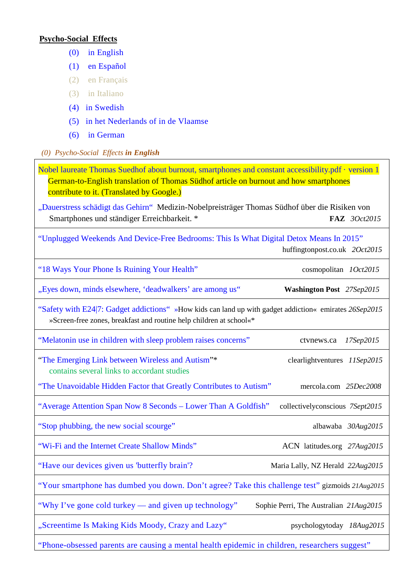## **Psycho-Social Effects**

- [\(0\) in English](#page-0-0)
- [\(1\) en Español](#page-1-0)
- (2) en Français
- (3) in Italiano
- [\(4\) in Swedish](#page-1-1)
- [\(5\) in het Nederlands of in de Vlaamse](#page-1-0)
- [\(6\) in German](#page-1-2)
- <span id="page-0-0"></span>*(0) Psycho-Social Effects in English*

[Nobel laureate Thomas Suedhof about burnout, smartphones and constant accessibility.pdf · version 1](https://www.facebook.com/download/1076069125759840/Nobel%20laureate%20Thomas%20Suedhof%20about%20burnout%2C%20smartphones%20and%20constant%20accessibility.pdf)  German-to-English translation of Thomas Südhof article on burnout and how smartphones contribute to it. (Translated by Google.) ["Dauerstress schädigt das](http://www.faz.net/aktuell/beruf-chance/arbeitswelt/nobelpreistraeger-thomas-suedhof-ueber-burnout-smartphones-und-staendige-erreichbarkeit-13837125.html) Gehirn" Medizin-Nobelpreisträger Thomas Südhof über die Risiken von Smartphones und ständiger Erreichbarkeit. \* **FAZ** *3Oct2015* ["Unplugged Weekends And Device-Free Bedrooms: This Is What Digital Detox Means In 2015"](http://www.huffingtonpost.co.uk/2015/10/02/what-digital-detox-means-in-2016_n_8043372.html) huffingtonpost.co.uk *2Oct2015* ["18 Ways Your Phone Is Ruining Your Health"](http://www.cosmopolitan.com/health-fitness/a47126/ways-your-phone-is-ruining-your-health/) cosmopolitan *1Oct2015* ["Eyes down, minds elsewhere, 'deadwalkers' are among us"](https://www.washingtonpost.com/local/trafficandcommuting/eyes-down-minds-elsewhere-deadwalkers-are-among-us/2015/09/27/a3ad1da2-51bb-11e5-8c19-0b6825aa4a3a_story.html) **Washington Post** *27Sep2015* ["Safety with E24|7: Gadget addictions"](http://www.emirates247.com/news/emirates/safety-with-e24-7-gadget-addictions-2015-09-26-1.604654) »How kids can land up with gadget addiction« emirates *26Sep2015* »Screen-free zones, breakfast and routine help children at school«\* ["Melatonin use in children with](http://www.ctvnews.ca/health/health-headlines/melatonin-use-in-children-with-sleep-problem-raises-concerns-1.2568923) sleep problem raises concerns" ctvnews.ca *17Sep2015* ["The Emerging Link between](http://www.clearlightventures.com/blog/2015/9/11/the-emerging-link-between-wireless-and-autism) Wireless and Autism"\* clearlightventures *11Sep2015* contains several links to accordant studies ["The Unavoidable Hidden Factor that Greatly Contributes to Autism"](http://articles.mercola.com/sites/articles/archive/2008/12/25/the-unavoidable-hidden-factor-that-greatly-contributes-to-autism.aspx)mercola.com *25Dec2008* ["Average Attention Span Now 8 Seconds –](http://collectivelyconscious.net/articles/study-average-attention-span-now-8-seconds-lower-than-a-goldfish/) Lower Than A Goldfish" collectivelyconscious *7Sept2015* ["Stop phubbing, the new social](http://www.albawaba.com/business/stop-phubbing-new-social-scourge-736658) scourge" albawaba *30Aug2015* ["Wi-Fi and the Internet Create Shallow Minds"](http://latitudes.org/wifi-and-the-internet-create-shallow-minds/) ACN latitudes.org *27Aug2015* ["Have our devices given us 'butterfly brain'?](http://www.nzherald.co.nz/lifestyle/news/article.cfm?c_id=6&objectid=11501249) Maria Lally, NZ Herald *22Aug2015* ["Your smartphone has dumbed you down. Don't agree? Take this challenge test"](http://www.gizmoids.com/2015/08/your-smartphone-has-dumbed-you-down-dont-agree-take-this-challenge-test/) gizmoids *21Aug2015* ["Why I've gone cold turkey —](http://www.theaustralian.com.au/news/sophie-perri-why-ive-gone-cold-turkey-and-given-up-technology/story-e6frg6n6-1227493438482) and given up technology" Sophie Perri, The Australian 21Aug2015 ["Screentime Is Making Kids Moody, Crazy and Lazy" psychologytoday](https://www.psychologytoday.com/blog/mental-wealth/201508/screentime-is-making-kids-moody-crazy-and-lazy) *18Aug2015*

["Phone-obsessed parents are causing a mental health epidemic in children, researchers suggest"](https://groups.google.com/forum/#!topic/mobilfunk_newsletter/Q6aQksGL_MI)